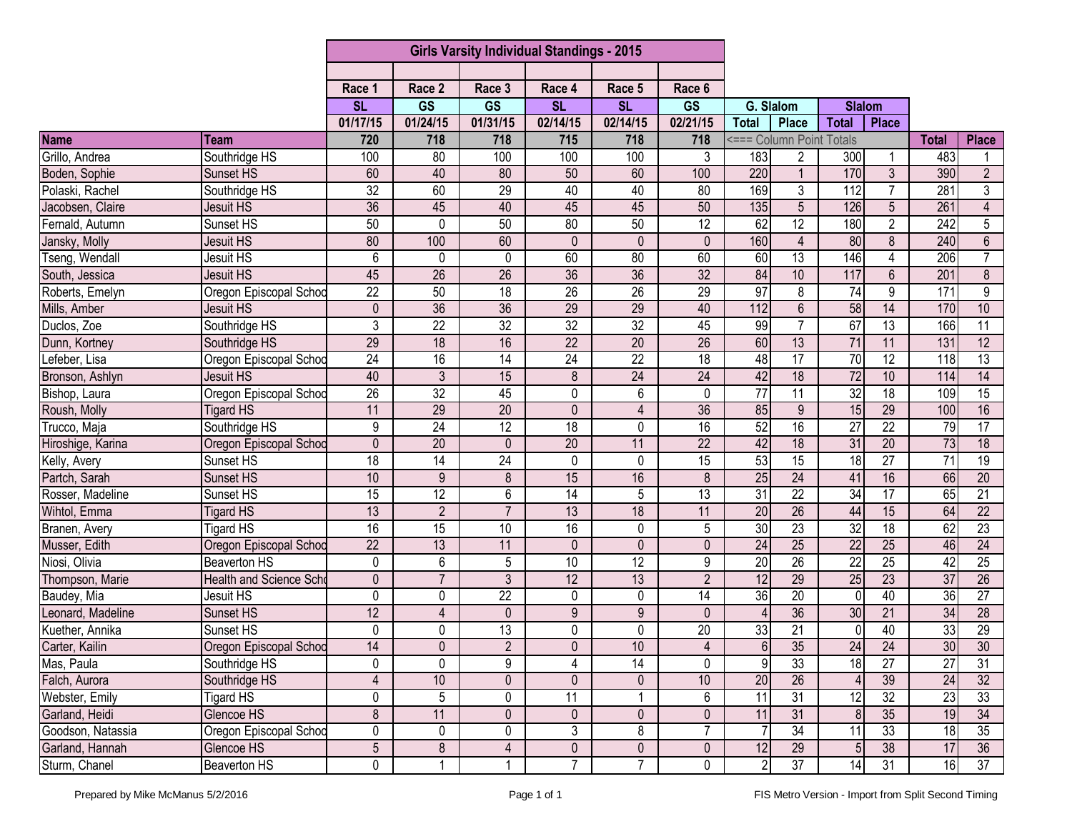|                   |                         | <b>Girls Varsity Individual Standings - 2015</b> |                 |                 |                 |                 |                        |                  |                          |                 |                 |                 |                  |
|-------------------|-------------------------|--------------------------------------------------|-----------------|-----------------|-----------------|-----------------|------------------------|------------------|--------------------------|-----------------|-----------------|-----------------|------------------|
|                   |                         |                                                  |                 |                 |                 |                 |                        |                  |                          |                 |                 |                 |                  |
|                   |                         | Race 1                                           | Race 2          | Race 3          | Race 4          | Race 5          | Race 6                 |                  |                          |                 |                 |                 |                  |
|                   |                         | <b>SL</b>                                        | <b>GS</b>       | <b>GS</b>       | <b>SL</b>       | <b>SL</b>       | $\overline{\text{GS}}$ | G. Slalom        |                          | <b>Slalom</b>   |                 |                 |                  |
|                   |                         | 01/17/15                                         | 01/24/15        | 01/31/15        | 02/14/15        | 02/14/15        | 02/21/15               | <b>Total</b>     | <b>Place</b>             | <b>Total</b>    | <b>Place</b>    |                 |                  |
| <b>Name</b>       | Team                    | 720                                              | 718             | 718             | 715             | 718             | 718                    |                  | <=== Column Point Totals |                 |                 | <b>Total</b>    | <b>Place</b>     |
| Grillo, Andrea    | Southridge HS           | 100                                              | 80              | 100             | 100             | 100             | 3                      | 183              | 2                        | 300             |                 | 483             |                  |
| Boden, Sophie     | Sunset HS               | 60                                               | 40              | 80              | 50              | 60              | 100                    | 220              | $\mathbf{1}$             | 170             | $\overline{3}$  | 390             | $\overline{2}$   |
| Polaski, Rachel   | Southridge HS           | 32                                               | 60              | 29              | 40              | 40              | 80                     | 169              | 3                        | 112             | $\overline{7}$  | 281             | 3                |
| Jacobsen, Claire  | Jesuit HS               | $\overline{36}$                                  | 45              | 40              | 45              | 45              | 50                     | 135              | 5                        | 126             | 5               | 261             | 4                |
| Fernald, Autumn   | Sunset HS               | 50                                               | $\pmb{0}$       | 50              | 80              | 50              | 12                     | 62               | 12                       | 180             | $\overline{2}$  | 242             | $\overline{5}$   |
| Jansky, Molly     | Jesuit HS               | 80                                               | 100             | 60              | $\mathbf{0}$    | $\mathbf{0}$    | $\mathbf{0}$           | 160              | $\overline{4}$           | 80              | 8               | 240             | $6\phantom{.}$   |
| Tseng, Wendall    | Jesuit HS               | 6                                                | 0               | 0               | 60              | 80              | 60                     | 60               | $\overline{13}$          | 146             | 4               | 206             | $\overline{7}$   |
| South, Jessica    | Jesuit HS               | 45                                               | $\overline{26}$ | $\overline{26}$ | 36              | 36              | $\overline{32}$        | 84               | 10                       | 117             | $\overline{6}$  | 201             | $\overline{8}$   |
| Roberts, Emelyn   | Oregon Episcopal Schoo  | $\overline{22}$                                  | 50              | 18              | $\overline{26}$ | 26              | 29                     | $\overline{97}$  | 8                        | 74              | 9               | 171             | $\boldsymbol{9}$ |
| Mills, Amber      | Jesuit HS               | $\mathbf 0$                                      | 36              | $\overline{36}$ | 29              | $\overline{29}$ | 40                     | $\overline{112}$ | $6\phantom{1}$           | 58              | 14              | 170             | 10               |
| Duclos, Zoe       | Southridge HS           | $\overline{3}$                                   | $\overline{22}$ | 32              | 32              | 32              | 45                     | 99               | $\overline{7}$           | 67              | 13              | 166             | $\overline{11}$  |
| Dunn, Kortney     | Southridge HS           | 29                                               | 18              | 16              | $\overline{22}$ | $\overline{20}$ | $\overline{26}$        | 60               | $\overline{13}$          | 71              | 11              | 131             | $\overline{12}$  |
| Lefeber, Lisa     | Oregon Episcopal Schoo  | $\overline{24}$                                  | 16              | 14              | 24              | $\overline{22}$ | 18                     | 48               | $\overline{17}$          | 70              | $\overline{12}$ | 118             | $\overline{13}$  |
| Bronson, Ashlyn   | Jesuit HS               | 40                                               | $\overline{3}$  | 15              | 8               | 24              | 24                     | 42               | 18                       | 72              | 10              | 114             | 14               |
| Bishop, Laura     | Oregon Episcopal Schod  | 26                                               | $\overline{32}$ | 45              | 0               | 6               | $\Omega$               | $\overline{77}$  | 11                       | 32              | 18              | 109             | $\overline{15}$  |
| Roush, Molly      | <b>Tigard HS</b>        | 11                                               | 29              | 20              | $\mathbf{0}$    | $\overline{4}$  | 36                     | 85               | 9                        | 15              | 29              | 100             | 16               |
| Trucco, Maja      | Southridge HS           | 9                                                | 24              | $\overline{12}$ | $\overline{18}$ | 0               | 16                     | 52               | 16                       | $\overline{27}$ | $\overline{22}$ | 79              | 17               |
| Hiroshige, Karina | Oregon Episcopal Schod  | $\mathbf 0$                                      | $\overline{20}$ | $\mathbf 0$     | $\overline{20}$ | 11              | $\overline{22}$        | 42               | $\overline{18}$          | $\overline{31}$ | $\overline{20}$ | $\overline{73}$ | $\overline{18}$  |
| Kelly, Avery      | Sunset HS               | $\overline{18}$                                  | $\overline{14}$ | $\overline{24}$ | 0               | 0               | $\overline{15}$        | $\overline{53}$  | $\overline{15}$          | 18              | $\overline{27}$ | 71              | $\overline{19}$  |
| Partch, Sarah     | Sunset HS               | 10                                               | $\overline{9}$  | $\bf 8$         | 15              | 16              | 8                      | 25               | $\overline{24}$          | 41              | 16              | 66              | $\overline{20}$  |
| Rosser, Madeline  | Sunset HS               | $\overline{15}$                                  | 12              | 6               | 14              | 5               | $\overline{13}$        | 31               | $\overline{22}$          | $\overline{34}$ | 17              | 65              | 21               |
| Wihtol, Emma      | <b>Tigard HS</b>        | 13                                               | $\overline{2}$  | $\overline{7}$  | 13              | 18              | 11                     | 20               | $\overline{26}$          | 44              | 15              | 64              | $\overline{22}$  |
| Branen, Avery     | <b>Tigard HS</b>        | 16                                               | 15              | 10              | 16              | $\mathbf 0$     | 5                      | 30               | 23                       | 32              | $\overline{18}$ | 62              | 23               |
| Musser, Edith     | Oregon Episcopal Schoo  | $\overline{22}$                                  | 13              | 11              | $\mathbf 0$     | $\mathbf 0$     | 0                      | $\overline{24}$  | 25                       | $\overline{22}$ | $\overline{25}$ | 46              | $\overline{24}$  |
| Niosi, Olivia     | <b>Beaverton HS</b>     | 0                                                | $6\phantom{1}$  | 5               | 10              | 12              | 9                      | 20               | $\overline{26}$          | $\overline{22}$ | $\overline{25}$ | 42              | $\overline{25}$  |
| Thompson, Marie   | Health and Science Scho | 0                                                | $\overline{7}$  | 3               | 12              | 13              | $\overline{2}$         | 12               | 29                       | 25              | 23              | 37              | 26               |
| Baudey, Mia       | Jesuit HS               | 0                                                | $\mathbf 0$     | $\overline{22}$ | 0               | 0               | 14                     | 36               | $\overline{20}$          | 0               | 40              | 36              | $\overline{27}$  |
| Leonard, Madeline | Sunset HS               | 12                                               | $\overline{4}$  | $\mathbf 0$     | 9               | 9               | $\Omega$               | $\overline{4}$   | $\overline{36}$          | 30              | $\overline{21}$ | 34              | $\overline{28}$  |
| Kuether, Annika   | Sunset HS               | 0                                                | 0               | 13              | 0               | 0               | $\overline{20}$        | 33               | $\overline{21}$          | 0               | 40              | 33              | 29               |
| Carter, Kailin    | Oregon Episcopal Schoo  | 14                                               | $\overline{0}$  | $\overline{2}$  | $\overline{0}$  | 10              | 4                      | $6 \mid$         | 35                       | 24              | 24              | 30 <sub>l</sub> | 30               |
| Mas, Paula        | Southridge HS           | 0                                                | $\mathbf 0$     | 9               | 4               | 14              | $\mathbf{0}$           | 9                | 33                       | $\frac{1}{8}$   | $\overline{27}$ | $\overline{27}$ | 31               |
| Falch, Aurora     | Southridge HS           | $\overline{4}$                                   | 10              | $\pmb{0}$       | 0               | 0               | 10                     | $\overline{20}$  | $\overline{26}$          |                 | 39              | 24              | 32               |
| Webster, Emily    | <b>Tigard HS</b>        | 0                                                | $\overline{5}$  | 0               | 11              |                 | 6                      | $\overline{11}$  | $\overline{31}$          | 12              | 32              | 23              | 33               |
| Garland, Heidi    | Glencoe HS              | 8                                                | 11              | $\mathbf 0$     | $\mathbf 0$     | $\mathbf 0$     | $\mathbf 0$            | 11               | 31                       | 8               | 35              | 19              | $\overline{34}$  |
| Goodson, Natassia | Oregon Episcopal Schod  | 0                                                | 0               | 0               | 3               | 8               | 7                      | -7               | 34                       | 11              | 33              | 18              | 35               |
| Garland, Hannah   | Glencoe HS              | $\overline{5}$                                   | $\infty$        | $\overline{4}$  | $\pmb{0}$       | $\pmb{0}$       | 0                      | 12               | 29                       | $5\phantom{.0}$ | $\overline{38}$ | 17              | 36               |
| Sturm, Chanel     | <b>Beaverton HS</b>     | 0                                                |                 | $\mathbf{1}$    | $\overline{7}$  | $\overline{7}$  | $\mathbf 0$            | $\overline{2}$   | $\overline{37}$          | $\overline{14}$ | 31              | 16              | 37               |